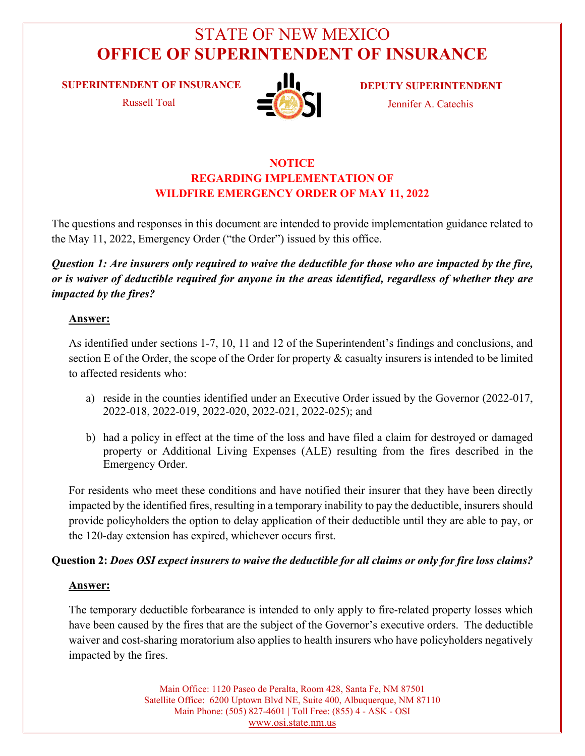# STATE OF NEW MEXICO **OFFICE OF SUPERINTENDENT OF INSURANCE**

**SUPERINTENDENT OF INSURANCE**

Russell Toal



**DEPUTY SUPERINTENDENT**

Jennifer A. Catechis

# **NOTICE REGARDING IMPLEMENTATION OF WILDFIRE EMERGENCY ORDER OF MAY 11, 2022**

The questions and responses in this document are intended to provide implementation guidance related to the May 11, 2022, Emergency Order ("the Order") issued by this office.

*Question 1: Are insurers only required to waive the deductible for those who are impacted by the fire, or is waiver of deductible required for anyone in the areas identified, regardless of whether they are impacted by the fires?*

## **Answer:**

As identified under sections 1-7, 10, 11 and 12 of the Superintendent's findings and conclusions, and section E of the Order, the scope of the Order for property & casualty insurers is intended to be limited to affected residents who:

- a) reside in the counties identified under an Executive Order issued by the Governor (2022-017, 2022-018, 2022-019, 2022-020, 2022-021, 2022-025); and
- b) had a policy in effect at the time of the loss and have filed a claim for destroyed or damaged property or Additional Living Expenses (ALE) resulting from the fires described in the Emergency Order.

For residents who meet these conditions and have notified their insurer that they have been directly impacted by the identified fires, resulting in a temporary inability to pay the deductible, insurers should provide policyholders the option to delay application of their deductible until they are able to pay, or the 120-day extension has expired, whichever occurs first.

# **Question 2:** *Does OSI expect insurers to waive the deductible for all claims or only for fire loss claims?*

## **Answer:**

The temporary deductible forbearance is intended to only apply to fire-related property losses which have been caused by the fires that are the subject of the Governor's executive orders. The deductible waiver and cost-sharing moratorium also applies to health insurers who have policyholders negatively impacted by the fires.

> Main Office: 1120 Paseo de Peralta, Room 428, Santa Fe, NM 87501 Satellite Office: 6200 Uptown Blvd NE, Suite 400, Albuquerque, NM 87110 Main Phone: (505) 827-4601 | Toll Free: (855) 4 - ASK - OSI [www.osi.state.nm.us](http://www.osi.state.nm.us/)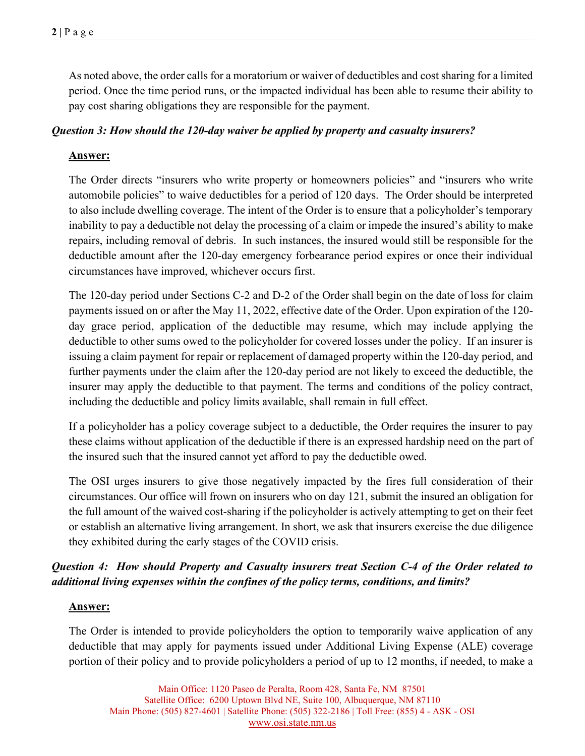As noted above, the order calls for a moratorium or waiver of deductibles and cost sharing for a limited period. Once the time period runs, or the impacted individual has been able to resume their ability to pay cost sharing obligations they are responsible for the payment.

# *Question 3: How should the 120-day waiver be applied by property and casualty insurers?*

# **Answer:**

The Order directs "insurers who write property or homeowners policies" and "insurers who write automobile policies" to waive deductibles for a period of 120 days. The Order should be interpreted to also include dwelling coverage. The intent of the Order is to ensure that a policyholder's temporary inability to pay a deductible not delay the processing of a claim or impede the insured's ability to make repairs, including removal of debris. In such instances, the insured would still be responsible for the deductible amount after the 120-day emergency forbearance period expires or once their individual circumstances have improved, whichever occurs first.

The 120-day period under Sections C-2 and D-2 of the Order shall begin on the date of loss for claim payments issued on or after the May 11, 2022, effective date of the Order. Upon expiration of the 120 day grace period, application of the deductible may resume, which may include applying the deductible to other sums owed to the policyholder for covered losses under the policy. If an insurer is issuing a claim payment for repair or replacement of damaged property within the 120-day period, and further payments under the claim after the 120-day period are not likely to exceed the deductible, the insurer may apply the deductible to that payment. The terms and conditions of the policy contract, including the deductible and policy limits available, shall remain in full effect.

If a policyholder has a policy coverage subject to a deductible, the Order requires the insurer to pay these claims without application of the deductible if there is an expressed hardship need on the part of the insured such that the insured cannot yet afford to pay the deductible owed.

The OSI urges insurers to give those negatively impacted by the fires full consideration of their circumstances. Our office will frown on insurers who on day 121, submit the insured an obligation for the full amount of the waived cost-sharing if the policyholder is actively attempting to get on their feet or establish an alternative living arrangement. In short, we ask that insurers exercise the due diligence they exhibited during the early stages of the COVID crisis.

# *Question 4: How should Property and Casualty insurers treat Section C-4 of the Order related to additional living expenses within the confines of the policy terms, conditions, and limits?*

## **Answer:**

The Order is intended to provide policyholders the option to temporarily waive application of any deductible that may apply for payments issued under Additional Living Expense (ALE) coverage portion of their policy and to provide policyholders a period of up to 12 months, if needed, to make a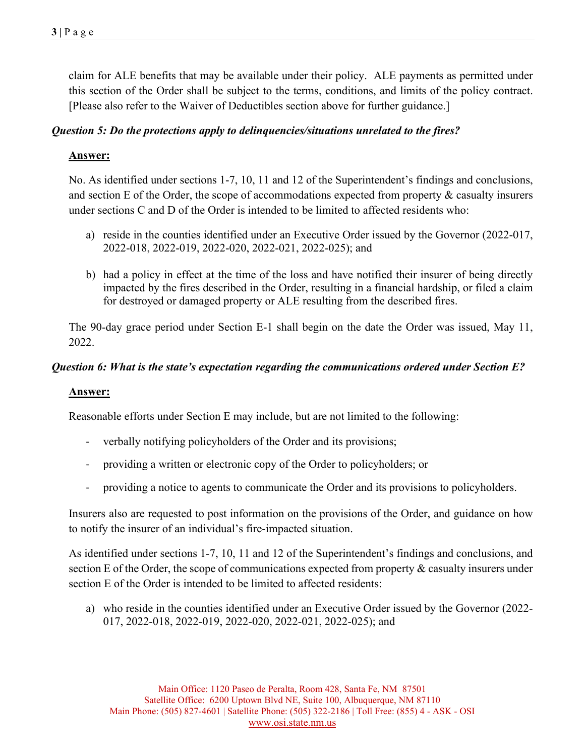claim for ALE benefits that may be available under their policy. ALE payments as permitted under this section of the Order shall be subject to the terms, conditions, and limits of the policy contract. [Please also refer to the Waiver of Deductibles section above for further guidance.]

# *Question 5: Do the protections apply to delinquencies/situations unrelated to the fires?*

## **Answer:**

No. As identified under sections 1-7, 10, 11 and 12 of the Superintendent's findings and conclusions, and section E of the Order, the scope of accommodations expected from property & casualty insurers under sections C and D of the Order is intended to be limited to affected residents who:

- a) reside in the counties identified under an Executive Order issued by the Governor (2022-017, 2022-018, 2022-019, 2022-020, 2022-021, 2022-025); and
- b) had a policy in effect at the time of the loss and have notified their insurer of being directly impacted by the fires described in the Order, resulting in a financial hardship, or filed a claim for destroyed or damaged property or ALE resulting from the described fires.

The 90-day grace period under Section E-1 shall begin on the date the Order was issued, May 11, 2022.

## *Question 6: What is the state's expectation regarding the communications ordered under Section E?*

## **Answer:**

Reasonable efforts under Section E may include, but are not limited to the following:

- verbally notifying policyholders of the Order and its provisions;
- providing a written or electronic copy of the Order to policyholders; or
- providing a notice to agents to communicate the Order and its provisions to policyholders.

Insurers also are requested to post information on the provisions of the Order, and guidance on how to notify the insurer of an individual's fire-impacted situation.

As identified under sections 1-7, 10, 11 and 12 of the Superintendent's findings and conclusions, and section E of the Order, the scope of communications expected from property & casualty insurers under section E of the Order is intended to be limited to affected residents:

a) who reside in the counties identified under an Executive Order issued by the Governor (2022- 017, 2022-018, 2022-019, 2022-020, 2022-021, 2022-025); and